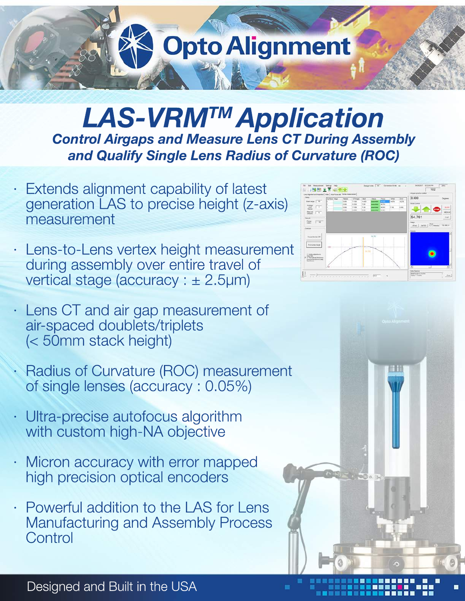## **Opto Alignment**

## *LAS-VRMTM Application* **Control Airgaps and Measure Lens CT During Assembly** and Qualify Single Lens Radius of Curvature (ROC)

- Extends alignment capability of latest generation LAS to precise height (z-axis) measurement
- Lens-to-Lens vertex height measurement during assembly over entire travel of vertical stage (accuracy:  $\pm$  2.5µm)
- · Lens CT and air gap measurement of air-spaced doublets/triplets (<50mm stack height)
- Radius of Curvature (ROC) measurement of single lenses (accuracy: 0.05%)
- Ultra-precise autofocus algorithm with custom high-NA objective
- Micron accuracy with error mapped high precision optical encoders
- Powerful addition to the LAS for Lens Manufacturing and Assembly Process **Control**